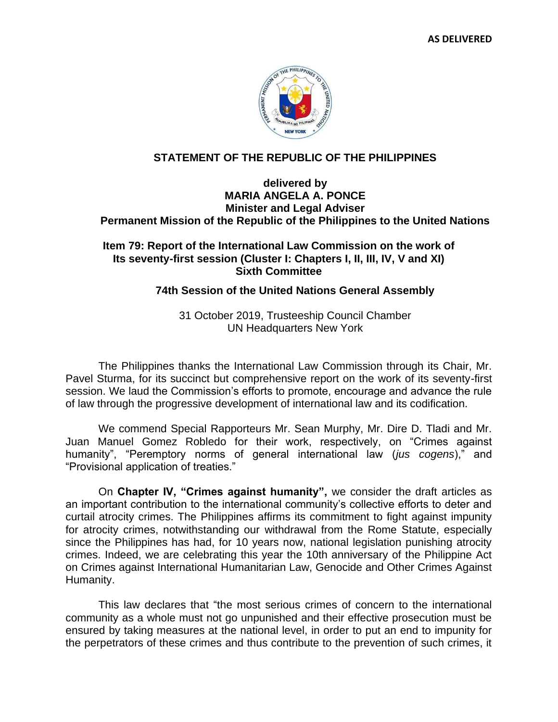

## **STATEMENT OF THE REPUBLIC OF THE PHILIPPINES**

## **delivered by MARIA ANGELA A. PONCE Minister and Legal Adviser Permanent Mission of the Republic of the Philippines to the United Nations**

## **Item 79: Report of the International Law Commission on the work of Its seventy-first session (Cluster I: Chapters I, II, III, IV, V and XI) Sixth Committee**

## **74th Session of the United Nations General Assembly**

31 October 2019, Trusteeship Council Chamber UN Headquarters New York

The Philippines thanks the International Law Commission through its Chair, Mr. Pavel Sturma, for its succinct but comprehensive report on the work of its seventy-first session. We laud the Commission's efforts to promote, encourage and advance the rule of law through the progressive development of international law and its codification.

We commend Special Rapporteurs Mr. Sean Murphy, Mr. Dire D. Tladi and Mr. Juan Manuel Gomez Robledo for their work, respectively, on "Crimes against humanity", "Peremptory norms of general international law (*jus cogens*)," and "Provisional application of treaties."

On **Chapter IV, "Crimes against humanity",** we consider the draft articles as an important contribution to the international community's collective efforts to deter and curtail atrocity crimes. The Philippines affirms its commitment to fight against impunity for atrocity crimes, notwithstanding our withdrawal from the Rome Statute, especially since the Philippines has had, for 10 years now, national legislation punishing atrocity crimes. Indeed, we are celebrating this year the 10th anniversary of the Philippine Act on Crimes against International Humanitarian Law, Genocide and Other Crimes Against Humanity.

This law declares that "the most serious crimes of concern to the international community as a whole must not go unpunished and their effective prosecution must be ensured by taking measures at the national level, in order to put an end to impunity for the perpetrators of these crimes and thus contribute to the prevention of such crimes, it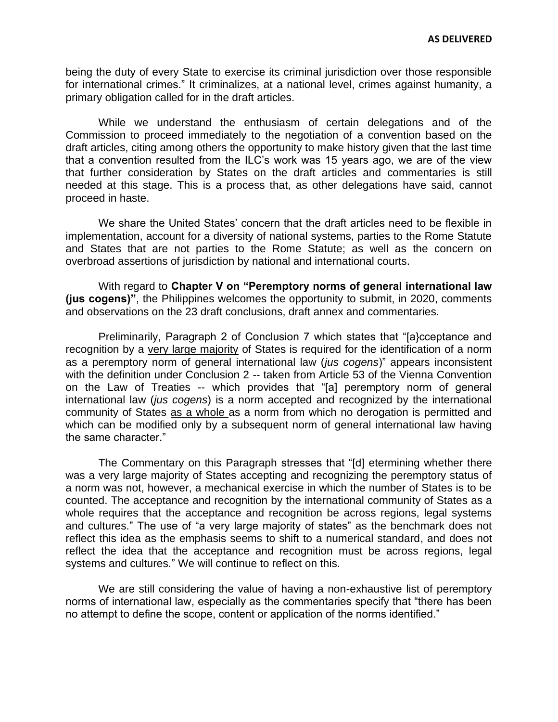being the duty of every State to exercise its criminal jurisdiction over those responsible for international crimes." It criminalizes, at a national level, crimes against humanity, a primary obligation called for in the draft articles.

While we understand the enthusiasm of certain delegations and of the Commission to proceed immediately to the negotiation of a convention based on the draft articles, citing among others the opportunity to make history given that the last time that a convention resulted from the ILC's work was 15 years ago, we are of the view that further consideration by States on the draft articles and commentaries is still needed at this stage. This is a process that, as other delegations have said, cannot proceed in haste.

We share the United States' concern that the draft articles need to be flexible in implementation, account for a diversity of national systems, parties to the Rome Statute and States that are not parties to the Rome Statute; as well as the concern on overbroad assertions of jurisdiction by national and international courts.

With regard to **Chapter V on "Peremptory norms of general international law (jus cogens)"**, the Philippines welcomes the opportunity to submit, in 2020, comments and observations on the 23 draft conclusions, draft annex and commentaries.

Preliminarily, Paragraph 2 of Conclusion 7 which states that "[a}cceptance and recognition by a very large majority of States is required for the identification of a norm as a peremptory norm of general international law (*jus cogens*)" appears inconsistent with the definition under Conclusion 2 -- taken from Article 53 of the Vienna Convention on the Law of Treaties -- which provides that "[a] peremptory norm of general international law (*jus cogens*) is a norm accepted and recognized by the international community of States as a whole as a norm from which no derogation is permitted and which can be modified only by a subsequent norm of general international law having the same character."

The Commentary on this Paragraph stresses that "[d] etermining whether there was a very large majority of States accepting and recognizing the peremptory status of a norm was not, however, a mechanical exercise in which the number of States is to be counted. The acceptance and recognition by the international community of States as a whole requires that the acceptance and recognition be across regions, legal systems and cultures." The use of "a very large majority of states" as the benchmark does not reflect this idea as the emphasis seems to shift to a numerical standard, and does not reflect the idea that the acceptance and recognition must be across regions, legal systems and cultures." We will continue to reflect on this.

We are still considering the value of having a non-exhaustive list of peremptory norms of international law, especially as the commentaries specify that "there has been no attempt to define the scope, content or application of the norms identified."